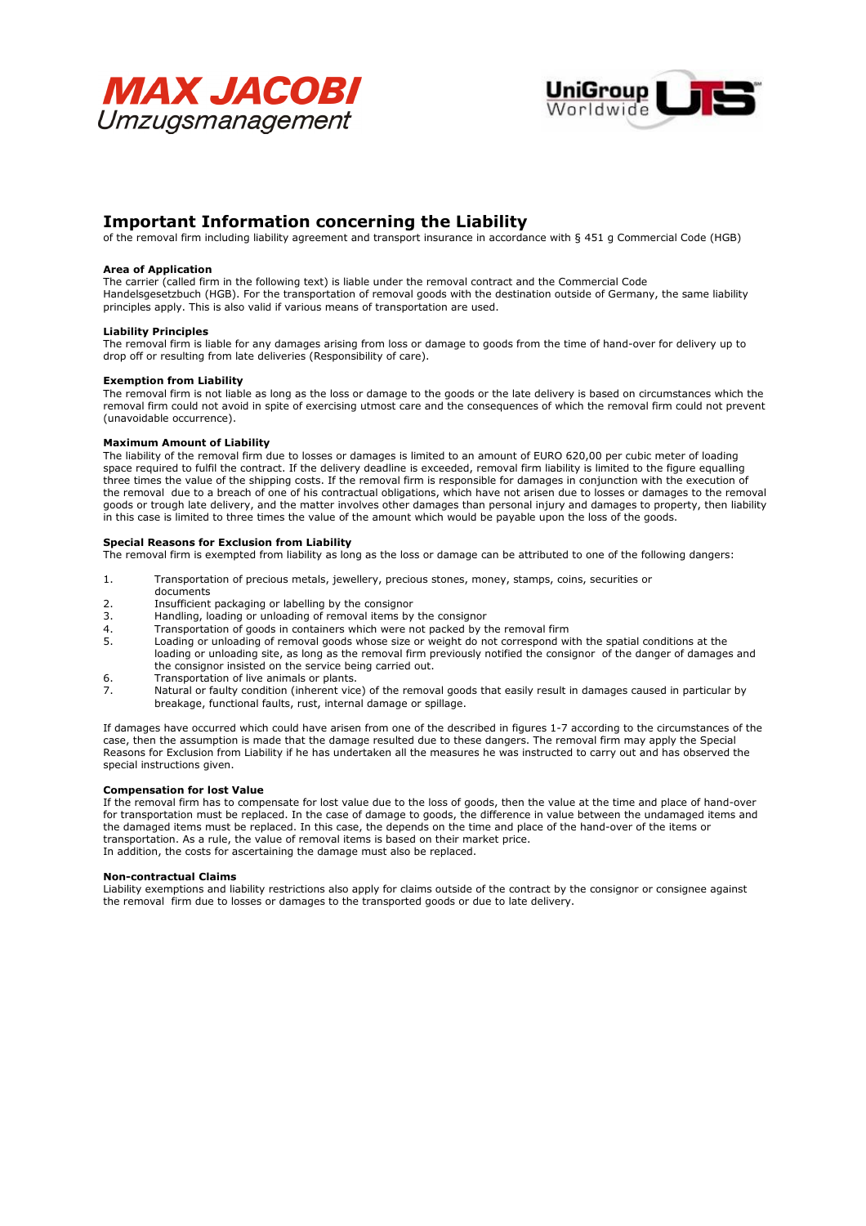



# Important Information concerning the Liability

of the removal firm including liability agreement and transport insurance in accordance with § 451 g Commercial Code (HGB)

### Area of Application

The carrier (called firm in the following text) is liable under the removal contract and the Commercial Code Handelsgesetzbuch (HGB). For the transportation of removal goods with the destination outside of Germany, the same liability principles apply. This is also valid if various means of transportation are used.

### Liability Principles

The removal firm is liable for any damages arising from loss or damage to goods from the time of hand-over for delivery up to drop off or resulting from late deliveries (Responsibility of care).

### Exemption from Liability

The removal firm is not liable as long as the loss or damage to the goods or the late delivery is based on circumstances which the removal firm could not avoid in spite of exercising utmost care and the consequences of which the removal firm could not prevent (unavoidable occurrence).

### Maximum Amount of Liability

The liability of the removal firm due to losses or damages is limited to an amount of EURO 620,00 per cubic meter of loading space required to fulfil the contract. If the delivery deadline is exceeded, removal firm liability is limited to the figure equalling three times the value of the shipping costs. If the removal firm is responsible for damages in conjunction with the execution of the removal due to a breach of one of his contractual obligations, which have not arisen due to losses or damages to the removal goods or trough late delivery, and the matter involves other damages than personal injury and damages to property, then liability in this case is limited to three times the value of the amount which would be payable upon the loss of the goods.

### Special Reasons for Exclusion from Liability

The removal firm is exempted from liability as long as the loss or damage can be attributed to one of the following dangers:

- 1. Transportation of precious metals, jewellery, precious stones, money, stamps, coins, securities or documents<br>2. Insufficient
- 2. Insufficient packaging or labelling by the consignor<br>3. Handling, loading or unloading of removal items by
- 3. Handling, loading or unloading of removal items by the consignor<br>4. Transportation of goods in containers which were not packed by t
- Transportation of goods in containers which were not packed by the removal firm
- 5. Loading or unloading of removal goods whose size or weight do not correspond with the spatial conditions at the loading or unloading site, as long as the removal firm previously notified the consignor of the danger of damages and the consignor insisted on the service being carried out.
- 6. Transportation of live animals or plants.<br>7. Natural or faulty condition (inherent vice
- Natural or faulty condition (inherent vice) of the removal goods that easily result in damages caused in particular by breakage, functional faults, rust, internal damage or spillage.

If damages have occurred which could have arisen from one of the described in figures 1-7 according to the circumstances of the case, then the assumption is made that the damage resulted due to these dangers. The removal firm may apply the Special Reasons for Exclusion from Liability if he has undertaken all the measures he was instructed to carry out and has observed the special instructions given.

### Compensation for lost Value

If the removal firm has to compensate for lost value due to the loss of goods, then the value at the time and place of hand-over for transportation must be replaced. In the case of damage to goods, the difference in value between the undamaged items and the damaged items must be replaced. In this case, the depends on the time and place of the hand-over of the items or transportation. As a rule, the value of removal items is based on their market price. In addition, the costs for ascertaining the damage must also be replaced.

### Non-contractual Claims

Liability exemptions and liability restrictions also apply for claims outside of the contract by the consignor or consignee against the removal firm due to losses or damages to the transported goods or due to late delivery.